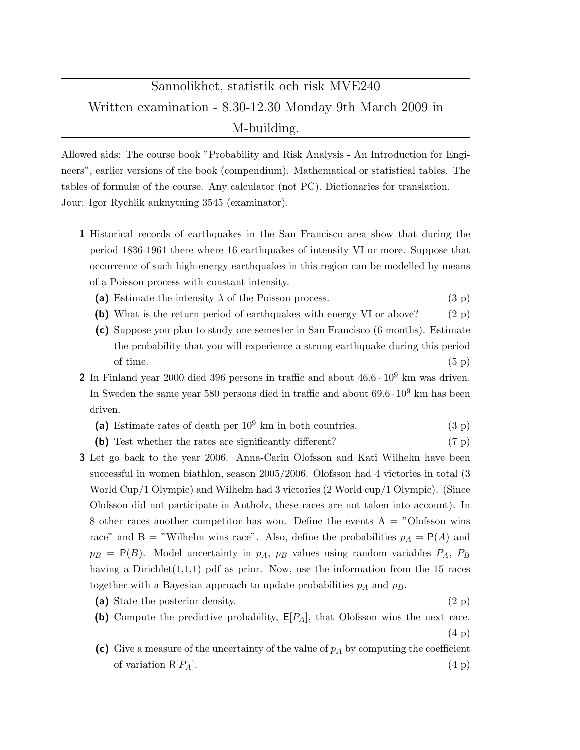## Sannolikhet, statistik och risk MVE240 Written examination - 8.30-12.30 Monday 9th March 2009 in M-building.

Allowed aids: The course book "Probability and Risk Analysis - An Introduction for Engineers", earlier versions of the book (compendium). Mathematical or statistical tables. The tables of formulæ of the course. Any calculator (not PC). Dictionaries for translation. Jour: Igor Rychlik anknytning 3545 (examinator).

- 1 Historical records of earthquakes in the San Francisco area show that during the period 1836-1961 there where 16 earthquakes of intensity VI or more. Suppose that occurrence of such high-energy earthquakes in this region can be modelled by means of a Poisson process with constant intensity.
	- (a) Estimate the intensity  $\lambda$  of the Poisson process. (3 p)
	- (b) What is the return period of earthquakes with energy VI or above? (2 p)
	- (c) Suppose you plan to study one semester in San Francisco (6 months). Estimate the probability that you will experience a strong earthquake during this period of time.  $(5 \text{ p})$
- 2 In Finland year 2000 died 396 persons in traffic and about  $46.6 \cdot 10^9$  km was driven. In Sweden the same year 580 persons died in traffic and about  $69.6 \cdot 10^9$  km has been driven.
	- (a) Estimate rates of death per  $10^9$  km in both countries. (3 p)
	- (b) Test whether the rates are significantly different? (7 p)
- 3 Let go back to the year 2006. Anna-Carin Olofsson and Kati Wilhelm have been successful in women biathlon, season 2005/2006. Olofsson had 4 victories in total (3 World Cup/1 Olympic) and Wilhelm had 3 victories (2 World cup/1 Olympic). (Since Olofsson did not participate in Antholz, these races are not taken into account). In 8 other races another competitor has won. Define the events  $A = "Olofsson wins$ race" and B = "Wilhelm wins race". Also, define the probabilities  $p_A = P(A)$  and  $p_B = P(B)$ . Model uncertainty in  $p_A$ ,  $p_B$  values using random variables  $P_A$ ,  $P_B$ having a Dirichlet $(1,1,1)$  pdf as prior. Now, use the information from the 15 races together with a Bayesian approach to update probabilities  $p_A$  and  $p_B$ .
	- (a) State the posterior density. (2 p)
	- (b) Compute the predictive probability,  $E[P_A]$ , that Olofsson wins the next race.

(4 p)

(c) Give a measure of the uncertainty of the value of  $p_A$  by computing the coefficient of variation  $R[P_A]$ . (4 p)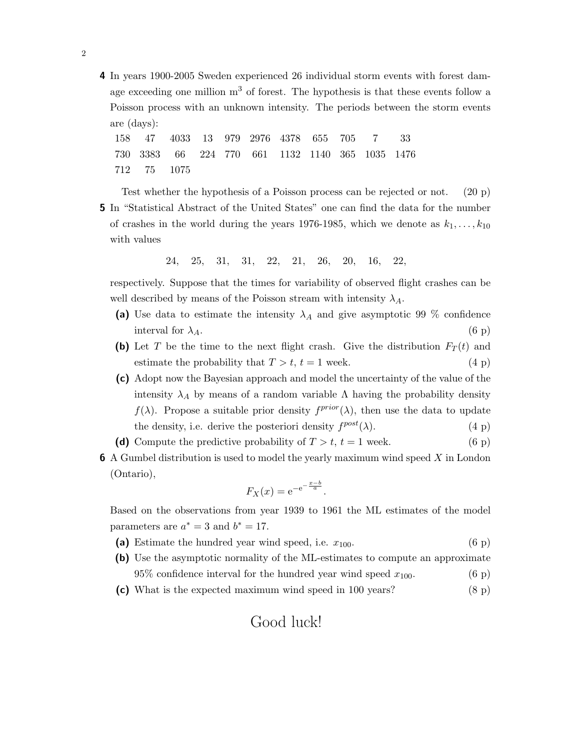4 In years 1900-2005 Sweden experienced 26 individual storm events with forest damage exceeding one million  $m<sup>3</sup>$  of forest. The hypothesis is that these events follow a Poisson process with an unknown intensity. The periods between the storm events are (days):

|             | 158 47 4033 13 979 2976 4378 655 705 7 33       |  |  |  |  |
|-------------|-------------------------------------------------|--|--|--|--|
|             | 730 3383 66 224 770 661 1132 1140 365 1035 1476 |  |  |  |  |
| 712 75 1075 |                                                 |  |  |  |  |

Test whether the hypothesis of a Poisson process can be rejected or not. (20 p) 5 In "Statistical Abstract of the United States" one can find the data for the number of crashes in the world during the years 1976-1985, which we denote as  $k_1, \ldots, k_{10}$ with values

24, 25, 31, 31, 22, 21, 26, 20, 16, 22,

respectively. Suppose that the times for variability of observed flight crashes can be well described by means of the Poisson stream with intensity  $\lambda_A$ .

- (a) Use data to estimate the intensity  $\lambda_A$  and give asymptotic 99 % confidence interval for  $\lambda_A$ . (6 p)
- (b) Let T be the time to the next flight crash. Give the distribution  $F_T(t)$  and estimate the probability that  $T > t$ ,  $t = 1$  week. (4 p)
- (c) Adopt now the Bayesian approach and model the uncertainty of the value of the intensity  $\lambda_A$  by means of a random variable  $\Lambda$  having the probability density  $f(\lambda)$ . Propose a suitable prior density  $f<sup>prior</sup>(\lambda)$ , then use the data to update the density, i.e. derive the posteriori density  $f<sup>post</sup>(\lambda)$ . (4 p)
- (d) Compute the predictive probability of  $T > t$ ,  $t = 1$  week. (6 p)
- **6** A Gumbel distribution is used to model the yearly maximum wind speed X in London (Ontario),

$$
F_X(x) = e^{-e^{-\frac{x-b}{a}}}.
$$

Based on the observations from year 1939 to 1961 the ML estimates of the model parameters are  $a^* = 3$  and  $b^* = 17$ .

- (a) Estimate the hundred year wind speed, i.e.  $x_{100}$ .  $(6 \text{ p})$
- (b) Use the asymptotic normality of the ML-estimates to compute an approximate 95% confidence interval for the hundred year wind speed  $x_{100}$ . (6 p)
- (c) What is the expected maximum wind speed in 100 years? (8 p)

Good luck!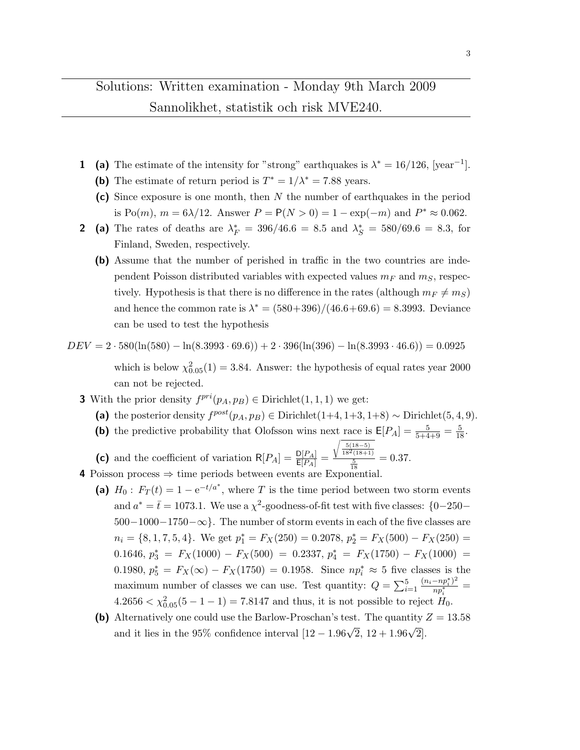## Solutions: Written examination - Monday 9th March 2009 Sannolikhet, statistik och risk MVE240.

- **1** (a) The estimate of the intensity for "strong" earthquakes is  $\lambda^* = 16/126$ , [year<sup>-1</sup>].
	- (b) The estimate of return period is  $T^* = 1/\lambda^* = 7.88$  years.
	- (c) Since exposure is one month, then N the number of earthquakes in the period is Po(*m*),  $m = 6\lambda/12$ . Answer  $P = P(N > 0) = 1 - \exp(-m)$  and  $P^* \approx 0.062$ .
- **2** (a) The rates of deaths are  $\lambda_F^* = 396/46.6 = 8.5$  and  $\lambda_S^* = 580/69.6 = 8.3$ , for Finland, Sweden, respectively.
	- (b) Assume that the number of perished in traffic in the two countries are independent Poisson distributed variables with expected values  $m_F$  and  $m_S$ , respectively. Hypothesis is that there is no difference in the rates (although  $m_F \neq m_S$ ) and hence the common rate is  $\lambda^* = (580+396)/(46.6+69.6) = 8.3993$ . Deviance can be used to test the hypothesis
- $DEV = 2 \cdot 580(\ln(580) \ln(8.3993 \cdot 69.6)) + 2 \cdot 396(\ln(396) \ln(8.3993 \cdot 46.6)) = 0.0925$ which is below  $\chi_{0.05}^2(1) = 3.84$ . Answer: the hypothesis of equal rates year 2000 can not be rejected.
	- **3** With the prior density  $f^{pri}(p_A, p_B) \in Dirichlet(1, 1, 1)$  we get:
		- (a) the posterior density  $f^{post}(p_A, p_B) \in Dirichlet(1+4, 1+3, 1+8) \sim Dirichlet(5, 4, 9)$ .
		- (b) the predictive probability that Olofsson wins next race is  $E[P_A] = \frac{5}{5+4+9} = \frac{5}{18}$ .

(c) and the coefficient of variation  $R[P_A] = \frac{D[P_A]}{E[P_A]} =$  $\sqrt{\frac{5(18-5)}{18^2(18+1)}}$  $\frac{1}{18}$  = 0.37. 4 Poisson process  $\Rightarrow$  time periods between events are Exponential.

- (a)  $H_0: F_T(t) = 1 e^{-t/a^*}$ , where T is the time period between two storm events and  $a^* = \bar{t} = 1073.1$ . We use a  $\chi^2$ -goodness-of-fit test with five classes: {0-250- $500-1000-1750-\infty$ . The number of storm events in each of the five classes are  $n_i = \{8, 1, 7, 5, 4\}$ . We get  $p_1^* = F_X(250) = 0.2078$ ,  $p_2^* = F_X(500) - F_X(250) =$ 0.1646,  $p_3^* = F_X(1000) - F_X(500) = 0.2337$ ,  $p_4^* = F_X(1750) - F_X(1000) =$ 0.1980,  $p_5^* = F_X(\infty) - F_X(1750) = 0.1958$ . Since  $np_i^* \approx 5$  five classes is the maximum number of classes we can use. Test quantity:  $Q = \sum_{i=1}^{5}$  $(n_i - np_i^*)^2$  $\frac{-np_i}{np_i^*} =$  $4.2656 < \chi_{0.05}^2(5 - 1 - 1) = 7.8147$  and thus, it is not possible to reject  $H_0$ .
- (b) Alternatively one could use the Barlow-Proschan's test. The quantity  $Z = 13.58$ and it lies in the 95% confidence interval  $[12 - 1.96\sqrt{2}, 12 + 1.96\sqrt{2}]$ .